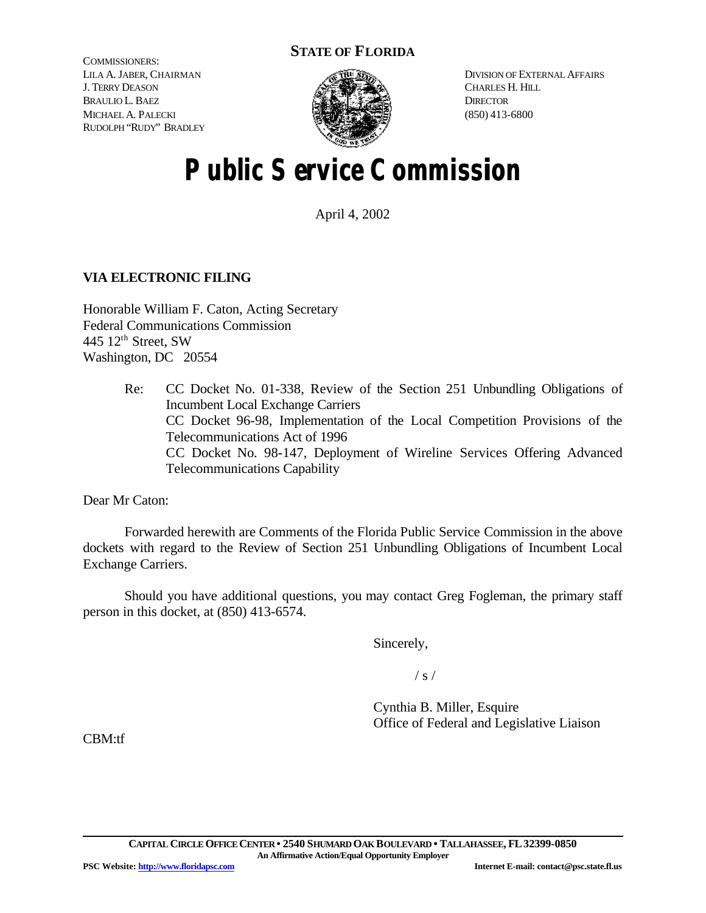# **STATE OF FLORIDA**

COMMISSIONERS: LILA A. JABER, CHAIRMAN J. TERRY DEASON BRAULIO L. BAEZ MICHAEL A. PALECKI RUDOLPH "RUDY" BRADLEY



DIVISION OF EXTERNAL AFFAIRS CHARLES H. HILL **DIRECTOR** (850) 413-6800

# **Public Service Commission**

April 4, 2002

# **VIA ELECTRONIC FILING**

Honorable William F. Caton, Acting Secretary Federal Communications Commission 445 12<sup>th</sup> Street, SW Washington, DC 20554

> Re: CC Docket No. 01-338, Review of the Section 251 Unbundling Obligations of Incumbent Local Exchange Carriers CC Docket 96-98, Implementation of the Local Competition Provisions of the Telecommunications Act of 1996 CC Docket No. 98-147, Deployment of Wireline Services Offering Advanced Telecommunications Capability

Dear Mr Caton:

Forwarded herewith are Comments of the Florida Public Service Commission in the above dockets with regard to the Review of Section 251 Unbundling Obligations of Incumbent Local Exchange Carriers.

Should you have additional questions, you may contact Greg Fogleman, the primary staff person in this docket, at (850) 413-6574.

Sincerely,

 $/ s /$ 

Cynthia B. Miller, Esquire Office of Federal and Legislative Liaison

CBM:tf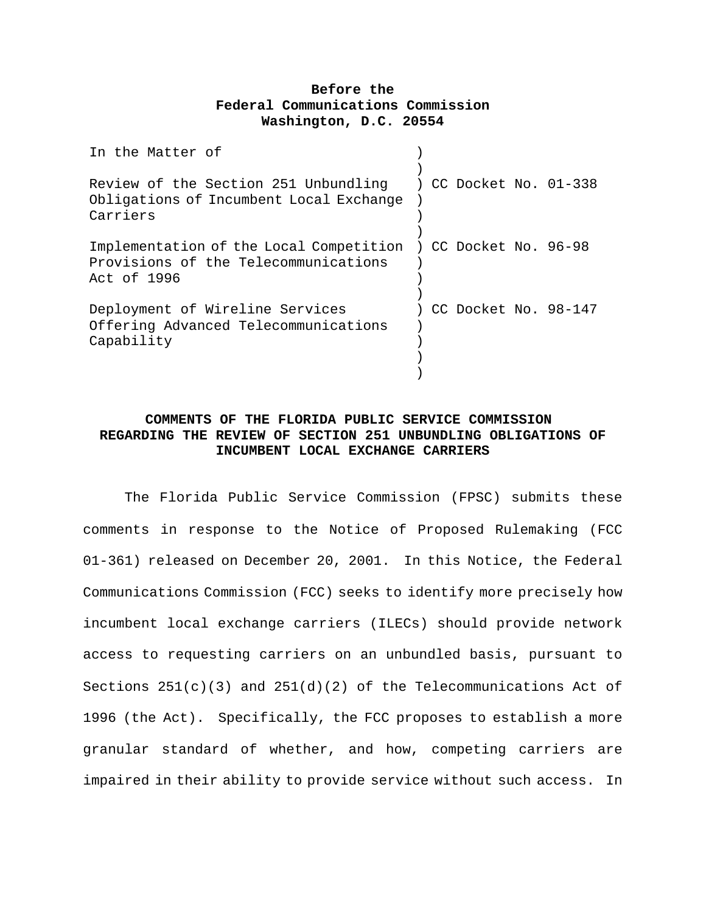## **Before the Federal Communications Commission Washington, D.C. 20554**

| In the Matter of                                                                                                     |  |  |                      |
|----------------------------------------------------------------------------------------------------------------------|--|--|----------------------|
| Review of the Section 251 Unbundling ) CC Docket No. 01-338<br>Obligations of Incumbent Local Exchange<br>Carriers   |  |  |                      |
| Implementation of the Local Competition ) CC Docket No. 96-98<br>Provisions of the Telecommunications<br>Act of 1996 |  |  |                      |
| Deployment of Wireline Services<br>Offering Advanced Telecommunications<br>Capability                                |  |  | CC Docket No. 98-147 |

## **COMMENTS OF THE FLORIDA PUBLIC SERVICE COMMISSION REGARDING THE REVIEW OF SECTION 251 UNBUNDLING OBLIGATIONS OF INCUMBENT LOCAL EXCHANGE CARRIERS**

The Florida Public Service Commission (FPSC) submits these comments in response to the Notice of Proposed Rulemaking (FCC 01-361) released on December 20, 2001. In this Notice, the Federal Communications Commission (FCC) seeks to identify more precisely how incumbent local exchange carriers (ILECs) should provide network access to requesting carriers on an unbundled basis, pursuant to Sections  $251(c)(3)$  and  $251(d)(2)$  of the Telecommunications Act of 1996 (the Act). Specifically, the FCC proposes to establish a more granular standard of whether, and how, competing carriers are impaired in their ability to provide service without such access. In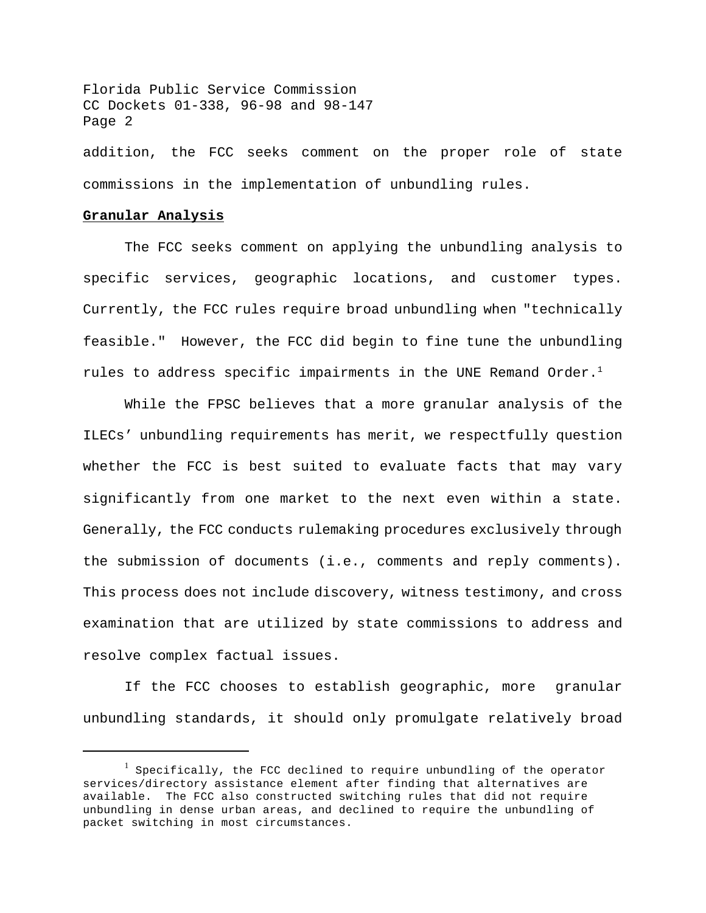addition, the FCC seeks comment on the proper role of state commissions in the implementation of unbundling rules.

## **Granular Analysis**

The FCC seeks comment on applying the unbundling analysis to specific services, geographic locations, and customer types. Currently, the FCC rules require broad unbundling when "technically feasible." However, the FCC did begin to fine tune the unbundling rules to address specific impairments in the UNE Remand Order.<sup>1</sup>

While the FPSC believes that a more granular analysis of the ILECs' unbundling requirements has merit, we respectfully question whether the FCC is best suited to evaluate facts that may vary significantly from one market to the next even within a state. Generally, the FCC conducts rulemaking procedures exclusively through the submission of documents (i.e., comments and reply comments). This process does not include discovery, witness testimony, and cross examination that are utilized by state commissions to address and resolve complex factual issues.

If the FCC chooses to establish geographic, more granular unbundling standards, it should only promulgate relatively broad

 $^{\rm l}$  Specifically, the FCC declined to require unbundling of the operator services/directory assistance element after finding that alternatives are available. The FCC also constructed switching rules that did not require unbundling in dense urban areas, and declined to require the unbundling of packet switching in most circumstances.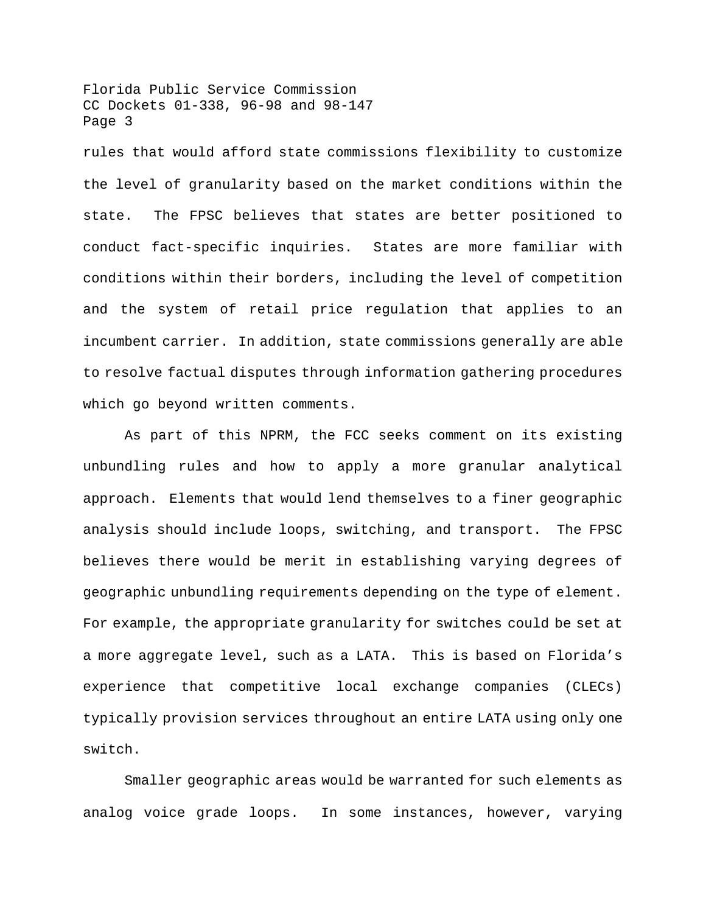rules that would afford state commissions flexibility to customize the level of granularity based on the market conditions within the state. The FPSC believes that states are better positioned to conduct fact-specific inquiries. States are more familiar with conditions within their borders, including the level of competition and the system of retail price regulation that applies to an incumbent carrier. In addition, state commissions generally are able to resolve factual disputes through information gathering procedures which go beyond written comments.

As part of this NPRM, the FCC seeks comment on its existing unbundling rules and how to apply a more granular analytical approach. Elements that would lend themselves to a finer geographic analysis should include loops, switching, and transport. The FPSC believes there would be merit in establishing varying degrees of geographic unbundling requirements depending on the type of element. For example, the appropriate granularity for switches could be set at a more aggregate level, such as a LATA. This is based on Florida's experience that competitive local exchange companies (CLECs) typically provision services throughout an entire LATA using only one switch.

Smaller geographic areas would be warranted for such elements as analog voice grade loops. In some instances, however, varying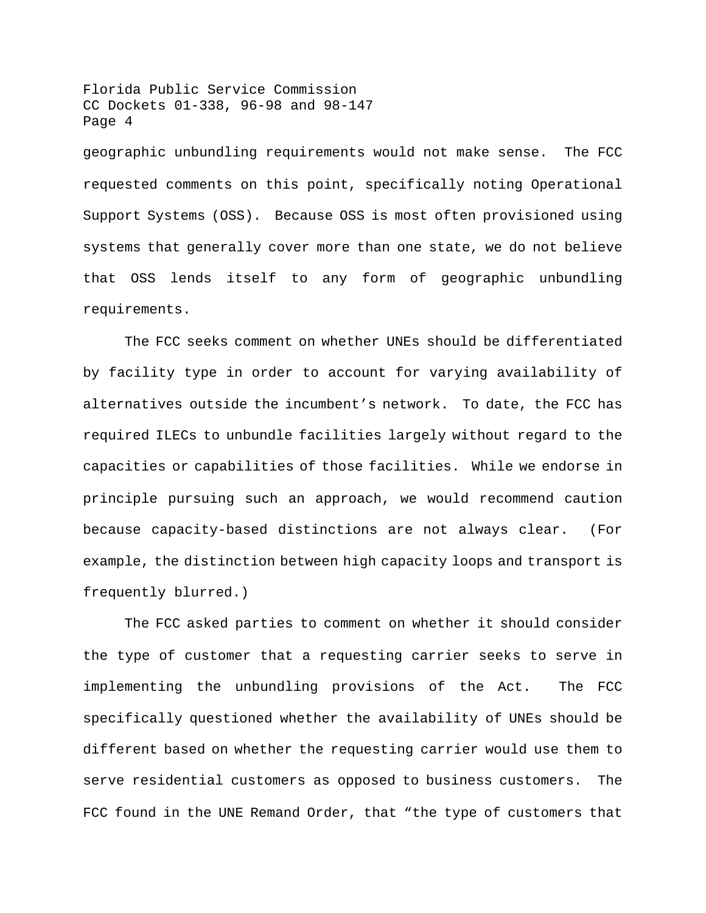geographic unbundling requirements would not make sense. The FCC requested comments on this point, specifically noting Operational Support Systems (OSS). Because OSS is most often provisioned using systems that generally cover more than one state, we do not believe that OSS lends itself to any form of geographic unbundling requirements.

The FCC seeks comment on whether UNEs should be differentiated by facility type in order to account for varying availability of alternatives outside the incumbent's network. To date, the FCC has required ILECs to unbundle facilities largely without regard to the capacities or capabilities of those facilities. While we endorse in principle pursuing such an approach, we would recommend caution because capacity-based distinctions are not always clear. (For example, the distinction between high capacity loops and transport is frequently blurred.)

The FCC asked parties to comment on whether it should consider the type of customer that a requesting carrier seeks to serve in implementing the unbundling provisions of the Act. The FCC specifically questioned whether the availability of UNEs should be different based on whether the requesting carrier would use them to serve residential customers as opposed to business customers. The FCC found in the UNE Remand Order, that "the type of customers that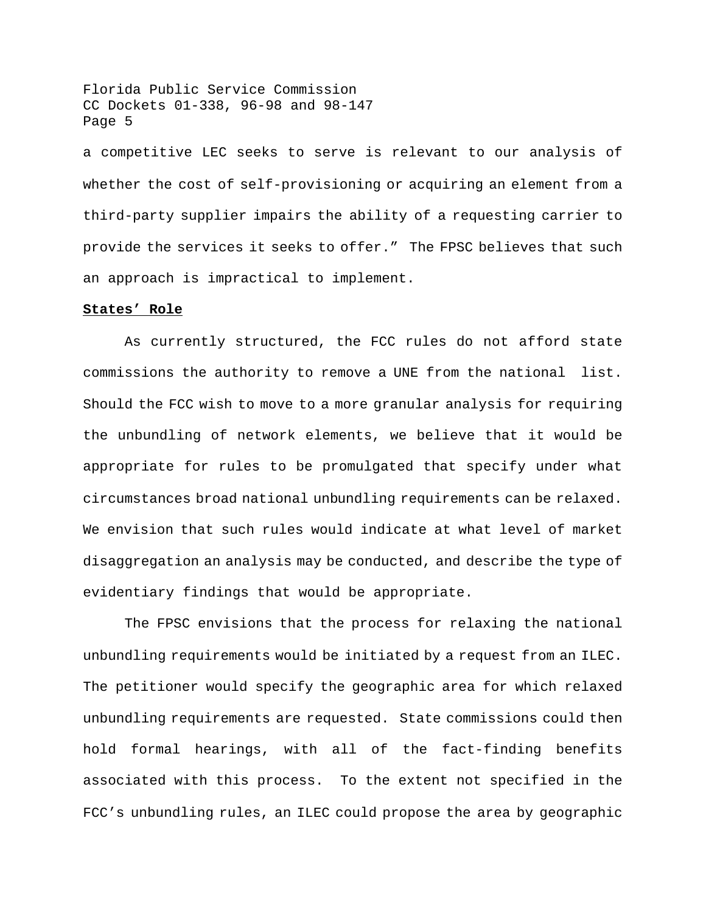a competitive LEC seeks to serve is relevant to our analysis of whether the cost of self-provisioning or acquiring an element from a third-party supplier impairs the ability of a requesting carrier to provide the services it seeks to offer." The FPSC believes that such an approach is impractical to implement.

#### **States' Role**

As currently structured, the FCC rules do not afford state commissions the authority to remove a UNE from the national list. Should the FCC wish to move to a more granular analysis for requiring the unbundling of network elements, we believe that it would be appropriate for rules to be promulgated that specify under what circumstances broad national unbundling requirements can be relaxed. We envision that such rules would indicate at what level of market disaggregation an analysis may be conducted, and describe the type of evidentiary findings that would be appropriate.

The FPSC envisions that the process for relaxing the national unbundling requirements would be initiated by a request from an ILEC. The petitioner would specify the geographic area for which relaxed unbundling requirements are requested. State commissions could then hold formal hearings, with all of the fact-finding benefits associated with this process. To the extent not specified in the FCC's unbundling rules, an ILEC could propose the area by geographic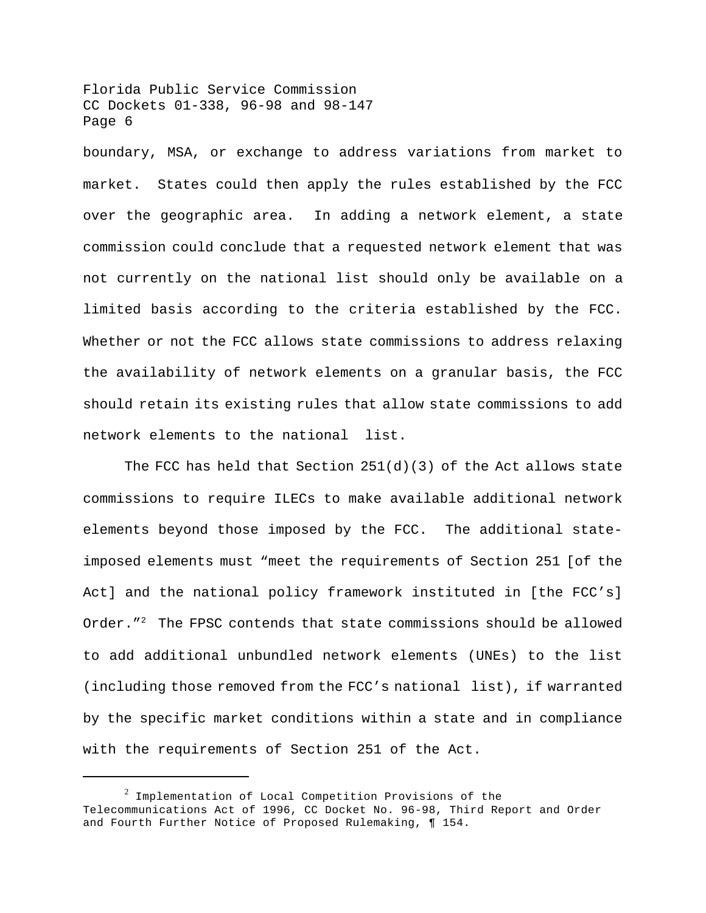boundary, MSA, or exchange to address variations from market to market. States could then apply the rules established by the FCC over the geographic area. In adding a network element, a state commission could conclude that a requested network element that was not currently on the national list should only be available on a limited basis according to the criteria established by the FCC. Whether or not the FCC allows state commissions to address relaxing the availability of network elements on a granular basis, the FCC should retain its existing rules that allow state commissions to add network elements to the national list.

The FCC has held that Section  $251(d)(3)$  of the Act allows state commissions to require ILECs to make available additional network elements beyond those imposed by the FCC. The additional stateimposed elements must "meet the requirements of Section 251 [of the Act] and the national policy framework instituted in [the FCC's] Order."<sup>2</sup> The FPSC contends that state commissions should be allowed to add additional unbundled network elements (UNEs) to the list (including those removed from the FCC's national list), if warranted by the specific market conditions within a state and in compliance with the requirements of Section 251 of the Act.

 $^2$  Implementation of Local Competition Provisions of the Telecommunications Act of 1996, CC Docket No. 96-98, Third Report and Order and Fourth Further Notice of Proposed Rulemaking, ¶ 154.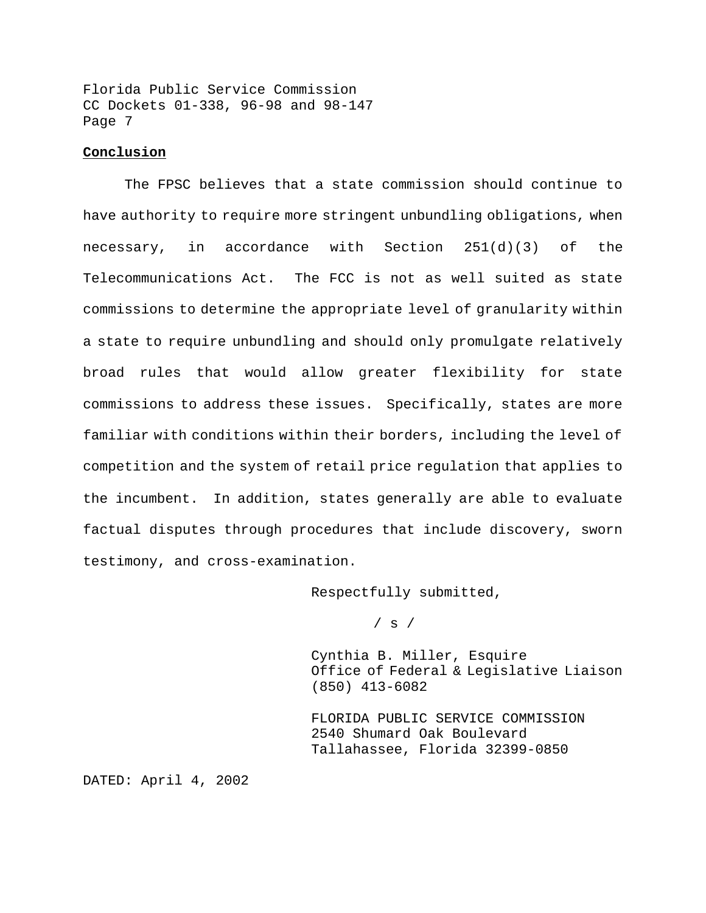## **Conclusion**

The FPSC believes that a state commission should continue to have authority to require more stringent unbundling obligations, when necessary, in accordance with Section 251(d)(3) of the Telecommunications Act. The FCC is not as well suited as state commissions to determine the appropriate level of granularity within a state to require unbundling and should only promulgate relatively broad rules that would allow greater flexibility for state commissions to address these issues. Specifically, states are more familiar with conditions within their borders, including the level of competition and the system of retail price regulation that applies to the incumbent. In addition, states generally are able to evaluate factual disputes through procedures that include discovery, sworn testimony, and cross-examination.

Respectfully submitted,

 $/$  s  $/$ 

Cynthia B. Miller, Esquire Office of Federal & Legislative Liaison (850) 413-6082

FLORIDA PUBLIC SERVICE COMMISSION 2540 Shumard Oak Boulevard Tallahassee, Florida 32399-0850

DATED: April 4, 2002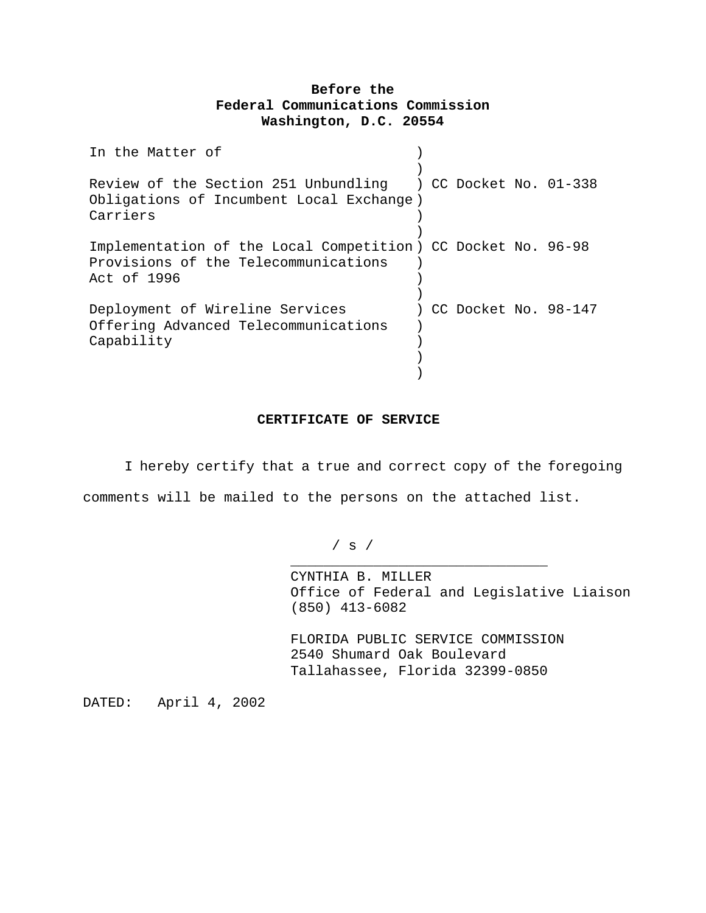## **Before the Federal Communications Commission Washington, D.C. 20554**

| In the Matter of                                                                                                     |  |                      |
|----------------------------------------------------------------------------------------------------------------------|--|----------------------|
| Review of the Section 251 Unbundling ) CC Docket No. 01-338<br>Obligations of Incumbent Local Exchange)<br>Carriers  |  |                      |
| Implementation of the Local Competition ) CC Docket No. 96-98<br>Provisions of the Telecommunications<br>Act of 1996 |  |                      |
| Deployment of Wireline Services<br>Offering Advanced Telecommunications<br>Capability                                |  | CC Docket No. 98-147 |

## **CERTIFICATE OF SERVICE**

I hereby certify that a true and correct copy of the foregoing comments will be mailed to the persons on the attached list.

/ s /

CYNTHIA B. MILLER Office of Federal and Legislative Liaison (850) 413-6082

FLORIDA PUBLIC SERVICE COMMISSION 2540 Shumard Oak Boulevard Tallahassee, Florida 32399-0850

\_\_\_\_\_\_\_\_\_\_\_\_\_\_\_\_\_\_\_\_\_\_\_\_\_\_\_\_\_\_\_

DATED: April 4, 2002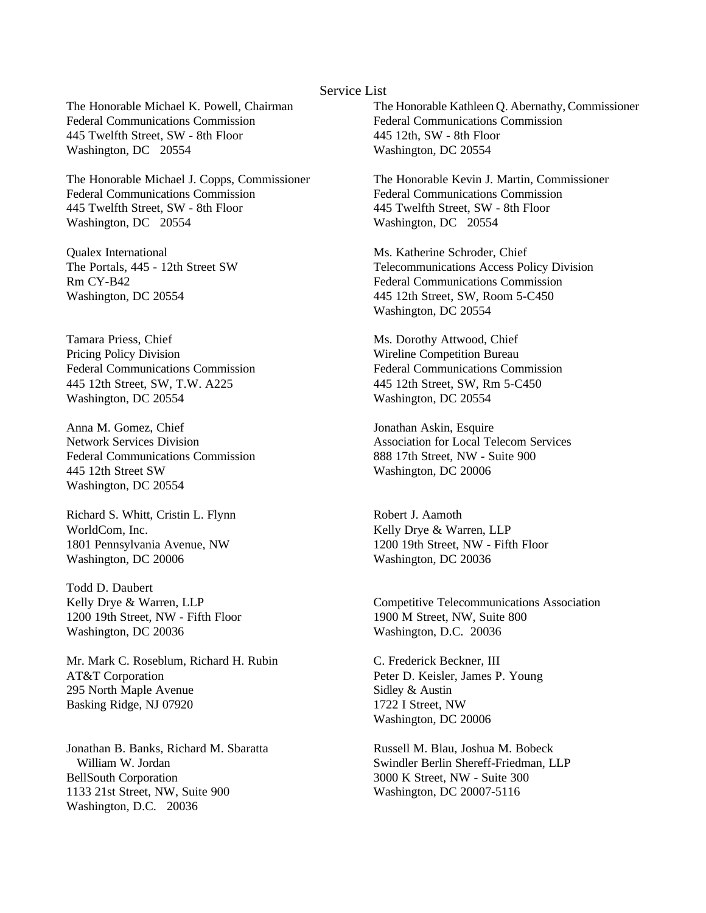## Service List

The Honorable Michael K. Powell, Chairman Federal Communications Commission 445 Twelfth Street, SW - 8th Floor Washington, DC 20554

The Honorable Michael J. Copps, Commissioner Federal Communications Commission 445 Twelfth Street, SW - 8th Floor Washington, DC 20554

Qualex International The Portals, 445 - 12th Street SW Rm CY-B42 Washington, DC 20554

Tamara Priess, Chief Pricing Policy Division Federal Communications Commission 445 12th Street, SW, T.W. A225 Washington, DC 20554

Anna M. Gomez, Chief Network Services Division Federal Communications Commission 445 12th Street SW Washington, DC 20554

Richard S. Whitt, Cristin L. Flynn WorldCom, Inc. 1801 Pennsylvania Avenue, NW Washington, DC 20006

Todd D. Daubert Kelly Drye & Warren, LLP 1200 19th Street, NW - Fifth Floor Washington, DC 20036

Mr. Mark C. Roseblum, Richard H. Rubin AT&T Corporation 295 North Maple Avenue Basking Ridge, NJ 07920

Jonathan B. Banks, Richard M. Sbaratta William W. Jordan BellSouth Corporation 1133 21st Street, NW, Suite 900 Washington, D.C. 20036

The Honorable Kathleen Q. Abernathy, Commissioner Federal Communications Commission 445 12th, SW - 8th Floor Washington, DC 20554

The Honorable Kevin J. Martin, Commissioner Federal Communications Commission 445 Twelfth Street, SW - 8th Floor Washington, DC 20554

Ms. Katherine Schroder, Chief Telecommunications Access Policy Division Federal Communications Commission 445 12th Street, SW, Room 5-C450 Washington, DC 20554

Ms. Dorothy Attwood, Chief Wireline Competition Bureau Federal Communications Commission 445 12th Street, SW, Rm 5-C450 Washington, DC 20554

Jonathan Askin, Esquire Association for Local Telecom Services 888 17th Street, NW - Suite 900 Washington, DC 20006

Robert J. Aamoth Kelly Drye & Warren, LLP 1200 19th Street, NW - Fifth Floor Washington, DC 20036

Competitive Telecommunications Association 1900 M Street, NW, Suite 800 Washington, D.C. 20036

C. Frederick Beckner, III Peter D. Keisler, James P. Young Sidley & Austin 1722 I Street, NW Washington, DC 20006

Russell M. Blau, Joshua M. Bobeck Swindler Berlin Shereff-Friedman, LLP 3000 K Street, NW - Suite 300 Washington, DC 20007-5116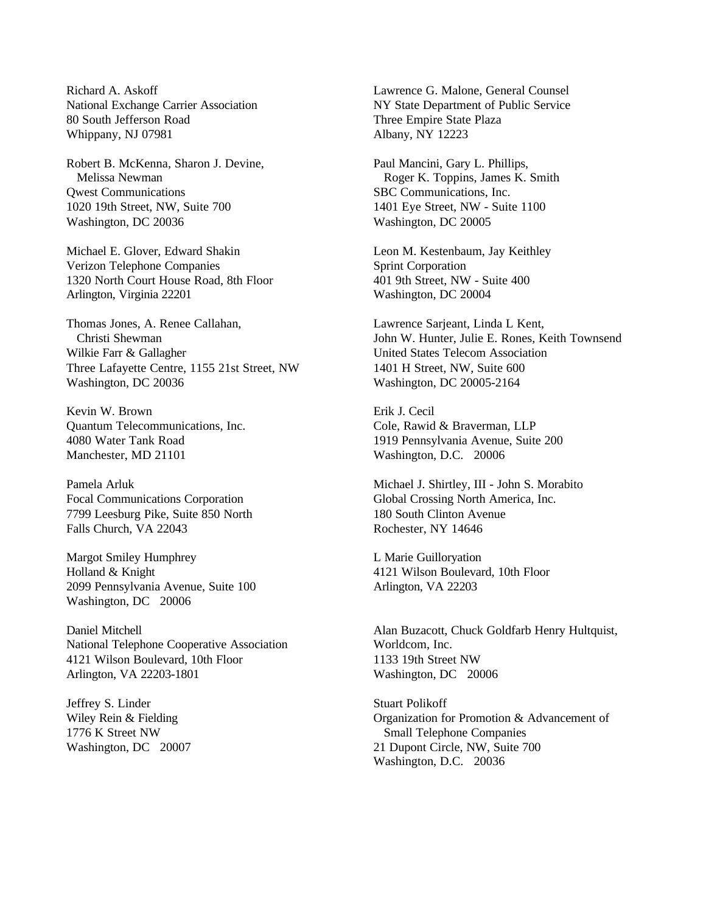Richard A. Askoff National Exchange Carrier Association 80 South Jefferson Road Whippany, NJ 07981

Robert B. McKenna, Sharon J. Devine, Melissa Newman Qwest Communications 1020 19th Street, NW, Suite 700 Washington, DC 20036

Michael E. Glover, Edward Shakin Verizon Telephone Companies 1320 North Court House Road, 8th Floor Arlington, Virginia 22201

Thomas Jones, A. Renee Callahan, Christi Shewman Wilkie Farr & Gallagher Three Lafayette Centre, 1155 21st Street, NW Washington, DC 20036

Kevin W. Brown Quantum Telecommunications, Inc. 4080 Water Tank Road Manchester, MD 21101

Pamela Arluk Focal Communications Corporation 7799 Leesburg Pike, Suite 850 North Falls Church, VA 22043

Margot Smiley Humphrey Holland & Knight 2099 Pennsylvania Avenue, Suite 100 Washington, DC 20006

Daniel Mitchell National Telephone Cooperative Association 4121 Wilson Boulevard, 10th Floor Arlington, VA 22203-1801

Jeffrey S. Linder Wiley Rein & Fielding 1776 K Street NW Washington, DC 20007 Lawrence G. Malone, General Counsel NY State Department of Public Service Three Empire State Plaza Albany, NY 12223

Paul Mancini, Gary L. Phillips, Roger K. Toppins, James K. Smith SBC Communications, Inc. 1401 Eye Street, NW - Suite 1100 Washington, DC 20005

Leon M. Kestenbaum, Jay Keithley Sprint Corporation 401 9th Street, NW - Suite 400 Washington, DC 20004

Lawrence Sarjeant, Linda L Kent, John W. Hunter, Julie E. Rones, Keith Townsend United States Telecom Association 1401 H Street, NW, Suite 600 Washington, DC 20005-2164

Erik J. Cecil Cole, Rawid & Braverman, LLP 1919 Pennsylvania Avenue, Suite 200 Washington, D.C. 20006

Michael J. Shirtley, III - John S. Morabito Global Crossing North America, Inc. 180 South Clinton Avenue Rochester, NY 14646

L Marie Guilloryation 4121 Wilson Boulevard, 10th Floor Arlington, VA 22203

Alan Buzacott, Chuck Goldfarb Henry Hultquist, Worldcom, Inc. 1133 19th Street NW Washington, DC 20006

Stuart Polikoff Organization for Promotion & Advancement of Small Telephone Companies 21 Dupont Circle, NW, Suite 700 Washington, D.C. 20036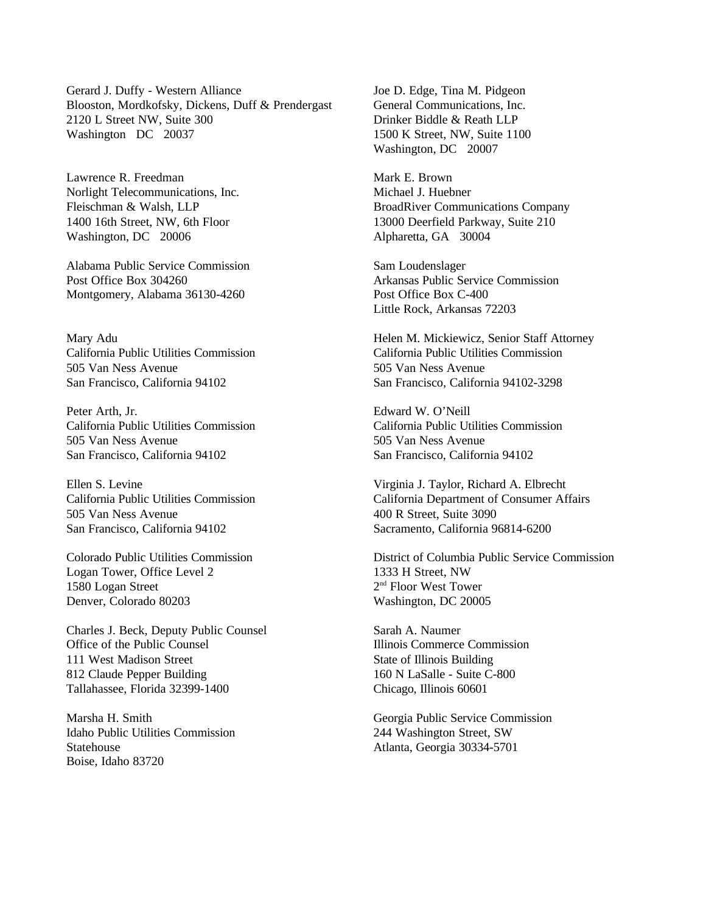Gerard J. Duffy - Western Alliance Blooston, Mordkofsky, Dickens, Duff & Prendergast 2120 L Street NW, Suite 300 Washington DC 20037

Lawrence R. Freedman Norlight Telecommunications, Inc. Fleischman & Walsh, LLP 1400 16th Street, NW, 6th Floor Washington, DC 20006

Alabama Public Service Commission Post Office Box 304260 Montgomery, Alabama 36130-4260

Mary Adu California Public Utilities Commission 505 Van Ness Avenue San Francisco, California 94102

Peter Arth, Jr. California Public Utilities Commission 505 Van Ness Avenue San Francisco, California 94102

Ellen S. Levine California Public Utilities Commission 505 Van Ness Avenue San Francisco, California 94102

Colorado Public Utilities Commission Logan Tower, Office Level 2 1580 Logan Street Denver, Colorado 80203

Charles J. Beck, Deputy Public Counsel Office of the Public Counsel 111 West Madison Street 812 Claude Pepper Building Tallahassee, Florida 32399-1400

Marsha H. Smith Idaho Public Utilities Commission **Statehouse** Boise, Idaho 83720

Joe D. Edge, Tina M. Pidgeon General Communications, Inc. Drinker Biddle & Reath LLP 1500 K Street, NW, Suite 1100 Washington, DC 20007

Mark E. Brown Michael J. Huebner BroadRiver Communications Company 13000 Deerfield Parkway, Suite 210 Alpharetta, GA 30004

Sam Loudenslager Arkansas Public Service Commission Post Office Box C-400 Little Rock, Arkansas 72203

Helen M. Mickiewicz, Senior Staff Attorney California Public Utilities Commission 505 Van Ness Avenue San Francisco, California 94102-3298

Edward W. O'Neill California Public Utilities Commission 505 Van Ness Avenue San Francisco, California 94102

Virginia J. Taylor, Richard A. Elbrecht California Department of Consumer Affairs 400 R Street, Suite 3090 Sacramento, California 96814-6200

District of Columbia Public Service Commission 1333 H Street, NW 2 nd Floor West Tower Washington, DC 20005

Sarah A. Naumer Illinois Commerce Commission State of Illinois Building 160 N LaSalle - Suite C-800 Chicago, Illinois 60601

Georgia Public Service Commission 244 Washington Street, SW Atlanta, Georgia 30334-5701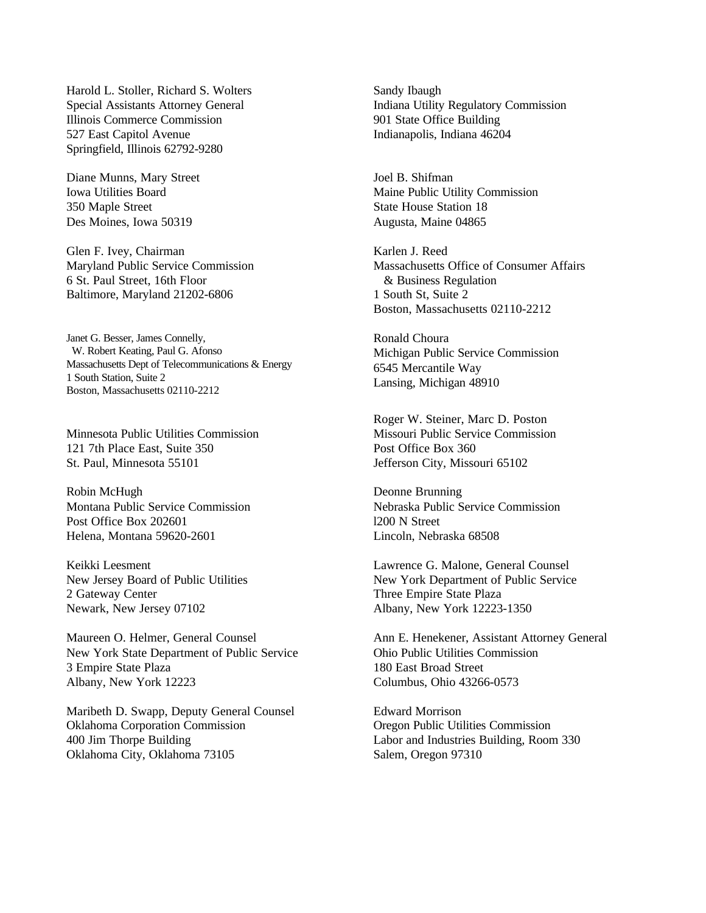Harold L. Stoller, Richard S. Wolters Special Assistants Attorney General Illinois Commerce Commission 527 East Capitol Avenue Springfield, Illinois 62792-9280

Diane Munns, Mary Street Iowa Utilities Board 350 Maple Street Des Moines, Iowa 50319

Glen F. Ivey, Chairman Maryland Public Service Commission 6 St. Paul Street, 16th Floor Baltimore, Maryland 21202-6806

Janet G. Besser, James Connelly, W. Robert Keating, Paul G. Afonso Massachusetts Dept of Telecommunications & Energy 1 South Station, Suite 2 Boston, Massachusetts 02110-2212

Minnesota Public Utilities Commission 121 7th Place East, Suite 350 St. Paul, Minnesota 55101

Robin McHugh Montana Public Service Commission Post Office Box 202601 Helena, Montana 59620-2601

Keikki Leesment New Jersey Board of Public Utilities 2 Gateway Center Newark, New Jersey 07102

Maureen O. Helmer, General Counsel New York State Department of Public Service 3 Empire State Plaza Albany, New York 12223

Maribeth D. Swapp, Deputy General Counsel Oklahoma Corporation Commission 400 Jim Thorpe Building Oklahoma City, Oklahoma 73105

Sandy Ibaugh Indiana Utility Regulatory Commission 901 State Office Building Indianapolis, Indiana 46204

Joel B. Shifman Maine Public Utility Commission State House Station 18 Augusta, Maine 04865

Karlen J. Reed Massachusetts Office of Consumer Affairs & Business Regulation 1 South St, Suite 2 Boston, Massachusetts 02110-2212

Ronald Choura Michigan Public Service Commission 6545 Mercantile Way Lansing, Michigan 48910

Roger W. Steiner, Marc D. Poston Missouri Public Service Commission Post Office Box 360 Jefferson City, Missouri 65102

Deonne Brunning Nebraska Public Service Commission l200 N Street Lincoln, Nebraska 68508

Lawrence G. Malone, General Counsel New York Department of Public Service Three Empire State Plaza Albany, New York 12223-1350

Ann E. Henekener, Assistant Attorney General Ohio Public Utilities Commission 180 East Broad Street Columbus, Ohio 43266-0573

Edward Morrison Oregon Public Utilities Commission Labor and Industries Building, Room 330 Salem, Oregon 97310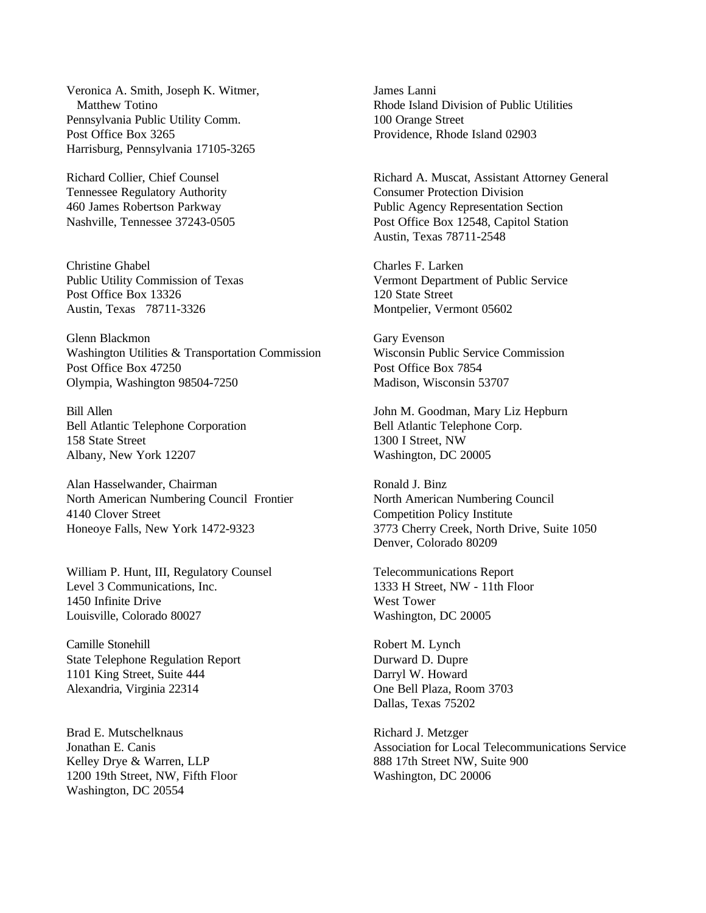Veronica A. Smith, Joseph K. Witmer, Matthew Totino Pennsylvania Public Utility Comm. Post Office Box 3265 Harrisburg, Pennsylvania 17105-3265

Richard Collier, Chief Counsel Tennessee Regulatory Authority 460 James Robertson Parkway Nashville, Tennessee 37243-0505

Christine Ghabel Public Utility Commission of Texas Post Office Box 13326 Austin, Texas 78711-3326

Glenn Blackmon Washington Utilities & Transportation Commission Post Office Box 47250 Olympia, Washington 98504-7250

Bill Allen Bell Atlantic Telephone Corporation 158 State Street Albany, New York 12207

Alan Hasselwander, Chairman North American Numbering Council Frontier 4140 Clover Street Honeoye Falls, New York 1472-9323

William P. Hunt, III, Regulatory Counsel Level 3 Communications, Inc. 1450 Infinite Drive Louisville, Colorado 80027

Camille Stonehill State Telephone Regulation Report 1101 King Street, Suite 444 Alexandria, Virginia 22314

Brad E. Mutschelknaus Jonathan E. Canis Kelley Drye & Warren, LLP 1200 19th Street, NW, Fifth Floor Washington, DC 20554

James Lanni Rhode Island Division of Public Utilities 100 Orange Street Providence, Rhode Island 02903

Richard A. Muscat, Assistant Attorney General Consumer Protection Division Public Agency Representation Section Post Office Box 12548, Capitol Station Austin, Texas 78711-2548

Charles F. Larken Vermont Department of Public Service 120 State Street Montpelier, Vermont 05602

Gary Evenson Wisconsin Public Service Commission Post Office Box 7854 Madison, Wisconsin 53707

John M. Goodman, Mary Liz Hepburn Bell Atlantic Telephone Corp. 1300 I Street, NW Washington, DC 20005

Ronald J. Binz North American Numbering Council Competition Policy Institute 3773 Cherry Creek, North Drive, Suite 1050 Denver, Colorado 80209

Telecommunications Report 1333 H Street, NW - 11th Floor West Tower Washington, DC 20005

Robert M. Lynch Durward D. Dupre Darryl W. Howard One Bell Plaza, Room 3703 Dallas, Texas 75202

Richard J. Metzger Association for Local Telecommunications Service 888 17th Street NW, Suite 900 Washington, DC 20006